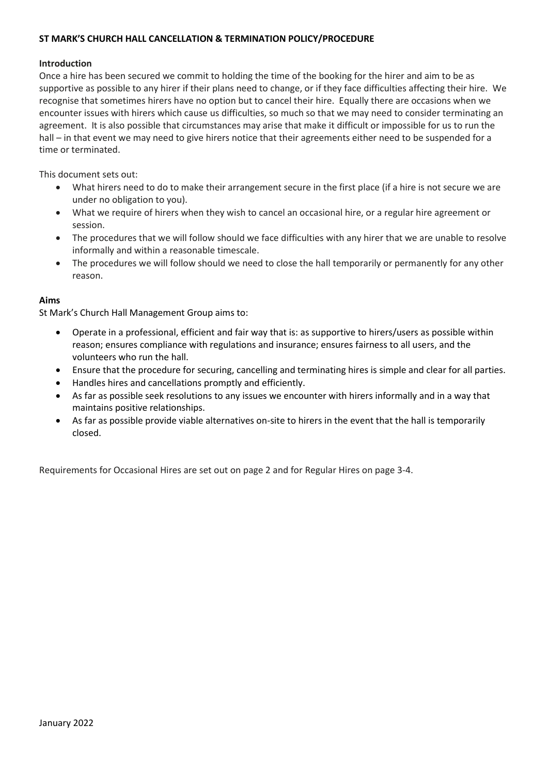#### **Introduction**

Once a hire has been secured we commit to holding the time of the booking for the hirer and aim to be as supportive as possible to any hirer if their plans need to change, or if they face difficulties affecting their hire. We recognise that sometimes hirers have no option but to cancel their hire. Equally there are occasions when we encounter issues with hirers which cause us difficulties, so much so that we may need to consider terminating an agreement. It is also possible that circumstances may arise that make it difficult or impossible for us to run the hall – in that event we may need to give hirers notice that their agreements either need to be suspended for a time or terminated.

This document sets out:

- What hirers need to do to make their arrangement secure in the first place (if a hire is not secure we are under no obligation to you).
- What we require of hirers when they wish to cancel an occasional hire, or a regular hire agreement or session.
- The procedures that we will follow should we face difficulties with any hirer that we are unable to resolve informally and within a reasonable timescale.
- The procedures we will follow should we need to close the hall temporarily or permanently for any other reason.

### **Aims**

St Mark's Church Hall Management Group aims to:

- Operate in a professional, efficient and fair way that is: as supportive to hirers/users as possible within reason; ensures compliance with regulations and insurance; ensures fairness to all users, and the volunteers who run the hall.
- Ensure that the procedure for securing, cancelling and terminating hires is simple and clear for all parties.
- Handles hires and cancellations promptly and efficiently.
- As far as possible seek resolutions to any issues we encounter with hirers informally and in a way that maintains positive relationships.
- As far as possible provide viable alternatives on-site to hirers in the event that the hall is temporarily closed.

Requirements for Occasional Hires are set out on page 2 and for Regular Hires on page 3-4.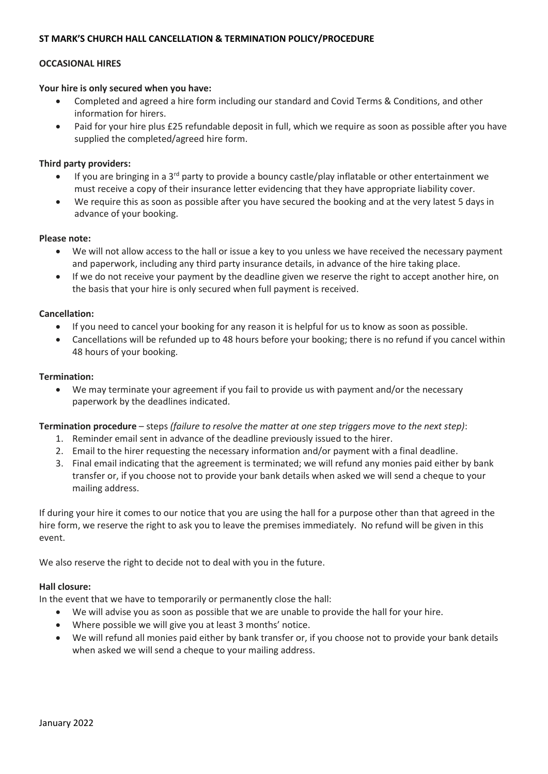## **OCCASIONAL HIRES**

#### **Your hire is only secured when you have:**

- Completed and agreed a hire form including our standard and Covid Terms & Conditions, and other information for hirers.
- Paid for your hire plus £25 refundable deposit in full, which we require as soon as possible after you have supplied the completed/agreed hire form.

## **Third party providers:**

- If you are bringing in a 3<sup>rd</sup> party to provide a bouncy castle/play inflatable or other entertainment we must receive a copy of their insurance letter evidencing that they have appropriate liability cover.
- We require this as soon as possible after you have secured the booking and at the very latest 5 days in advance of your booking.

# **Please note:**

- We will not allow access to the hall or issue a key to you unless we have received the necessary payment and paperwork, including any third party insurance details, in advance of the hire taking place.
- If we do not receive your payment by the deadline given we reserve the right to accept another hire, on the basis that your hire is only secured when full payment is received.

### **Cancellation:**

- If you need to cancel your booking for any reason it is helpful for us to know as soon as possible.
- Cancellations will be refunded up to 48 hours before your booking; there is no refund if you cancel within 48 hours of your booking.

### **Termination:**

• We may terminate your agreement if you fail to provide us with payment and/or the necessary paperwork by the deadlines indicated.

### **Termination procedure** – steps *(failure to resolve the matter at one step triggers move to the next step)*:

- 1. Reminder email sent in advance of the deadline previously issued to the hirer.
- 2. Email to the hirer requesting the necessary information and/or payment with a final deadline.
- 3. Final email indicating that the agreement is terminated; we will refund any monies paid either by bank transfer or, if you choose not to provide your bank details when asked we will send a cheque to your mailing address.

If during your hire it comes to our notice that you are using the hall for a purpose other than that agreed in the hire form, we reserve the right to ask you to leave the premises immediately. No refund will be given in this event.

We also reserve the right to decide not to deal with you in the future.

### **Hall closure:**

In the event that we have to temporarily or permanently close the hall:

- We will advise you as soon as possible that we are unable to provide the hall for your hire.
- Where possible we will give you at least 3 months' notice.
- We will refund all monies paid either by bank transfer or, if you choose not to provide your bank details when asked we will send a cheque to your mailing address.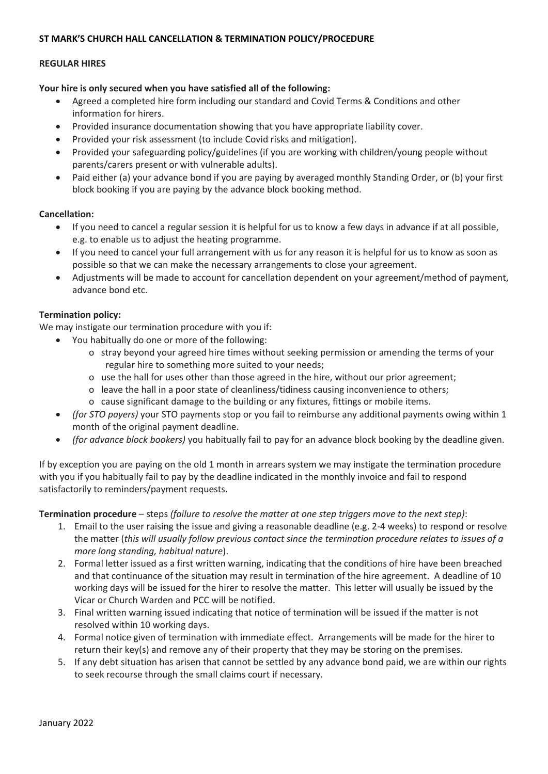### **REGULAR HIRES**

## **Your hire is only secured when you have satisfied all of the following:**

- Agreed a completed hire form including our standard and Covid Terms & Conditions and other information for hirers.
- Provided insurance documentation showing that you have appropriate liability cover.
- Provided your risk assessment (to include Covid risks and mitigation).
- Provided your safeguarding policy/guidelines (if you are working with children/young people without parents/carers present or with vulnerable adults).
- Paid either (a) your advance bond if you are paying by averaged monthly Standing Order, or (b) your first block booking if you are paying by the advance block booking method.

### **Cancellation:**

- If you need to cancel a regular session it is helpful for us to know a few days in advance if at all possible, e.g. to enable us to adjust the heating programme.
- If you need to cancel your full arrangement with us for any reason it is helpful for us to know as soon as possible so that we can make the necessary arrangements to close your agreement.
- Adjustments will be made to account for cancellation dependent on your agreement/method of payment, advance bond etc.

# **Termination policy:**

We may instigate our termination procedure with you if:

- You habitually do one or more of the following:
	- o stray beyond your agreed hire times without seeking permission or amending the terms of your regular hire to something more suited to your needs;
	- o use the hall for uses other than those agreed in the hire, without our prior agreement;
	- o leave the hall in a poor state of cleanliness/tidiness causing inconvenience to others;
	- o cause significant damage to the building or any fixtures, fittings or mobile items.
- *(for STO payers)* your STO payments stop or you fail to reimburse any additional payments owing within 1 month of the original payment deadline.
- *(for advance block bookers)* you habitually fail to pay for an advance block booking by the deadline given.

If by exception you are paying on the old 1 month in arrears system we may instigate the termination procedure with you if you habitually fail to pay by the deadline indicated in the monthly invoice and fail to respond satisfactorily to reminders/payment requests.

### **Termination procedure** – steps *(failure to resolve the matter at one step triggers move to the next step)*:

- 1. Email to the user raising the issue and giving a reasonable deadline (e.g. 2-4 weeks) to respond or resolve the matter (*this will usually follow previous contact since the termination procedure relates to issues of a more long standing, habitual nature*).
- 2. Formal letter issued as a first written warning, indicating that the conditions of hire have been breached and that continuance of the situation may result in termination of the hire agreement. A deadline of 10 working days will be issued for the hirer to resolve the matter. This letter will usually be issued by the Vicar or Church Warden and PCC will be notified.
- 3. Final written warning issued indicating that notice of termination will be issued if the matter is not resolved within 10 working days.
- 4. Formal notice given of termination with immediate effect. Arrangements will be made for the hirer to return their key(s) and remove any of their property that they may be storing on the premises.
- 5. If any debt situation has arisen that cannot be settled by any advance bond paid, we are within our rights to seek recourse through the small claims court if necessary.